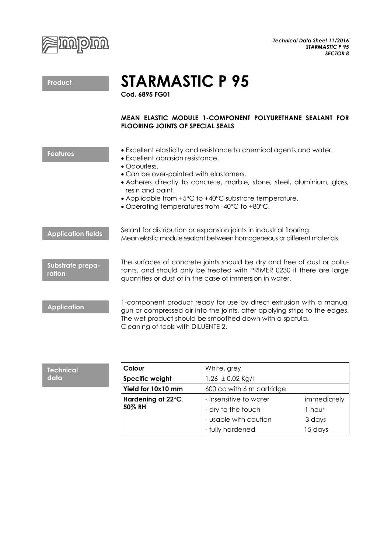

**STARMASTIC P 95**

**Cod. 6895 FG01**

## **MEAN ELASTIC MODULE 1-COMPONENT POLYURETHANE SEALANT FOR FLOORING JOINTS OF SPECIAL SEALS**

| <b>Features</b>            | • Excellent elasticity and resistance to chemical agents and water.<br>• Excellent abrasion resistance.<br>• Odourless.<br>• Can be over-painted with elastomers.<br>• Adheres directly to concrete, marble, stone, steel, aluminium, glass,<br>resin and paint.<br>• Applicable from +5°C to +40°C substrate temperature.<br>• Operating temperatures from -40°C to +80°C. |
|----------------------------|-----------------------------------------------------------------------------------------------------------------------------------------------------------------------------------------------------------------------------------------------------------------------------------------------------------------------------------------------------------------------------|
| <b>Application fields</b>  | Selant for distribution or expansion joints in industrial flooring.<br>Mean elastic module sealant between homogeneous or different materials.                                                                                                                                                                                                                              |
| Substrate prepa-<br>ration | The surfaces of concrete joints should be dry and free of dust or pollu-<br>tants, and should only be treated with PRIMER 0230 if there are large<br>quantities or dust of in the case of immersion in water.                                                                                                                                                               |
|                            |                                                                                                                                                                                                                                                                                                                                                                             |

1-component product ready for use by direct extrusion with a manual gun or compressed air into the joints, after applying strips to the edges. The wet product should be smoothed down with a spatula. Cleaning of tools with DILUENTE 2.

|  | Colour             | White, grey               |             |
|--|--------------------|---------------------------|-------------|
|  | Specific weight    | 1.26 $\pm$ 0.02 Kg/I      |             |
|  | Yield for 10x10 mm | 600 cc with 6 m cartridge |             |
|  | Hardening at 22°C, | - insensitive to water    | immediately |
|  | 50% RH             | - dry to the touch        | 1 hour      |
|  |                    | - usable with caution     | 3 days      |
|  |                    | - fully hardened          | 15 days     |

**Product**

**Application**

**Technical data**